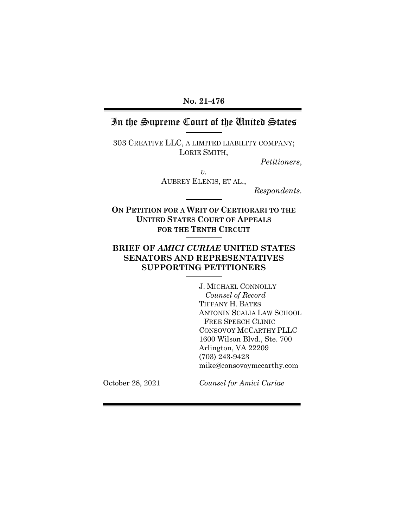### **No. 21-476**

# In the Supreme Court of the United States

303 CREATIVE LLC, A LIMITED LIABILITY COMPANY; LORIE SMITH,

*Petitioners*,

*v.* AUBREY ELENIS, ET AL.,

*Respondents.*

**ON PETITION FOR A WRIT OF CERTIORARI TO THE UNITED STATES COURT OF APPEALS FOR THE TENTH CIRCUIT**

## **BRIEF OF** *AMICI CURIAE* **UNITED STATES SENATORS AND REPRESENTATIVES SUPPORTING PETITIONERS**

J. MICHAEL CONNOLLY *Counsel of Record* TIFFANY H. BATES ANTONIN SCALIA LAW SCHOOL FREE SPEECH CLINIC CONSOVOY MCCARTHY PLLC 1600 Wilson Blvd., Ste. 700 Arlington, VA 22209 (703) 243-9423 mike@consovoymccarthy.com

October 28, 2021

*Counsel for Amici Curiae*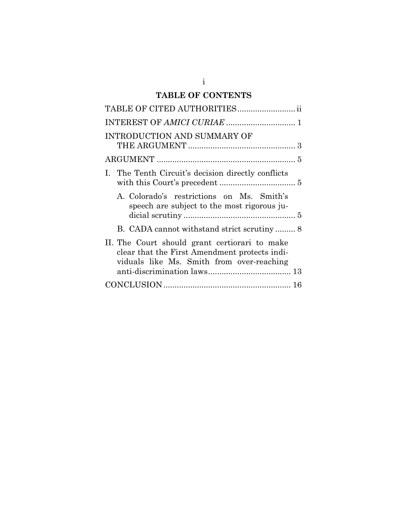# **TABLE OF CONTENTS**

| TABLE OF CITED AUTHORITIES ii                                                                                                               |
|---------------------------------------------------------------------------------------------------------------------------------------------|
|                                                                                                                                             |
| <b>INTRODUCTION AND SUMMARY OF</b>                                                                                                          |
|                                                                                                                                             |
| I. The Tenth Circuit's decision directly conflicts                                                                                          |
| A. Colorado's restrictions on Ms. Smith's<br>speech are subject to the most rigorous ju-                                                    |
|                                                                                                                                             |
| II. The Court should grant certiorari to make<br>clear that the First Amendment protects indi-<br>viduals like Ms. Smith from over-reaching |
|                                                                                                                                             |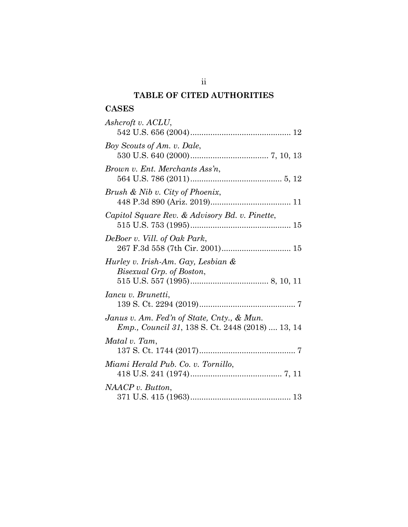## **TABLE OF CITED AUTHORITIES**

## **CASES**

| Ashcroft v. ACLU,                                                                                     |
|-------------------------------------------------------------------------------------------------------|
| Boy Scouts of Am. v. Dale,                                                                            |
| Brown v. Ent. Merchants Ass'n,                                                                        |
| Brush & Nib v. City of Phoenix,                                                                       |
| Capitol Square Rev. & Advisory Bd. v. Pinette,                                                        |
| DeBoer v. Vill. of Oak Park,                                                                          |
| Hurley v. Irish-Am. Gay, Lesbian &<br>Bisexual Grp. of Boston,                                        |
| Iancu v. Brunetti,                                                                                    |
| Janus v. Am. Fed'n of State, Cnty., & Mun.<br><i>Emp., Council 31, 138 S. Ct. 2448 (2018)  13, 14</i> |
| Matal v. Tam,                                                                                         |
| Miami Herald Pub. Co. v. Tornillo,                                                                    |
| NAACP v. Button,                                                                                      |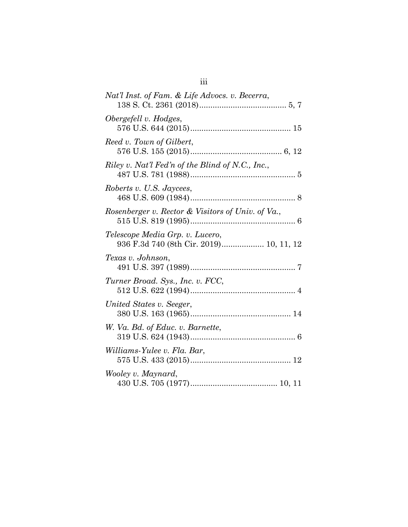| Nat'l Inst. of Fam. & Life Advocs. v. Becerra,                             |
|----------------------------------------------------------------------------|
| Obergefell v. Hodges,                                                      |
| Reed v. Town of Gilbert,                                                   |
| Riley v. Nat'l Fed'n of the Blind of N.C., Inc.,                           |
| Roberts v. U.S. Jaycees,                                                   |
| Rosenberger v. Rector & Visitors of Univ. of Va.,                          |
| Telescope Media Grp. v. Lucero,<br>936 F.3d 740 (8th Cir. 2019) 10, 11, 12 |
| Texas v. Johnson,                                                          |
| Turner Broad. Sys., Inc. v. FCC,                                           |
| United States v. Seeger,                                                   |
| W. Va. Bd. of Educ. v. Barnette,                                           |
| Williams-Yulee v. Fla. Bar,                                                |
| Wooley v. Maynard,                                                         |

iii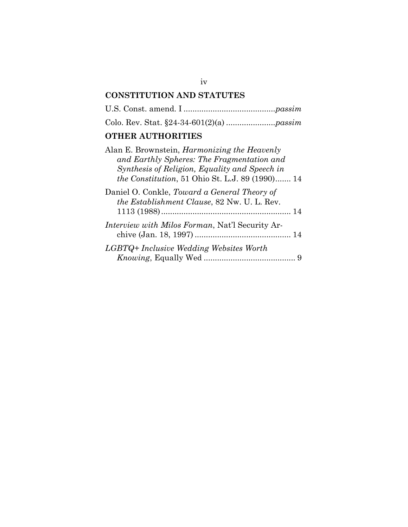# **CONSTITUTION AND STATUTES**

U.S. Const. amend. I .........................................*passim*

Colo. Rev. Stat. §24-34-601(2)(a) ......................*passim*

# **OTHER AUTHORITIES**

| Alan E. Brownstein, <i>Harmonizing the Heavenly</i><br>and Earthly Spheres: The Fragmentation and<br>Synthesis of Religion, Equality and Speech in<br>the Constitution, 51 Ohio St. L.J. 89 (1990) 14 |
|-------------------------------------------------------------------------------------------------------------------------------------------------------------------------------------------------------|
| Daniel O. Conkle, Toward a General Theory of<br>the Establishment Clause, 82 Nw. U. L. Rev.                                                                                                           |
| <i>Interview with Milos Forman, Nat'l Security Ar-</i>                                                                                                                                                |
| LGBTQ+ Inclusive Wedding Websites Worth                                                                                                                                                               |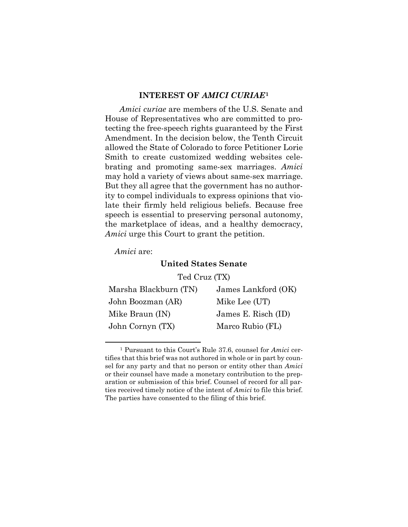### **INTEREST OF** *AMICI CURIAE***[1](#page-5-0)**

*Amici curiae* are members of the U.S. Senate and House of Representatives who are committed to protecting the free-speech rights guaranteed by the First Amendment. In the decision below, the Tenth Circuit allowed the State of Colorado to force Petitioner Lorie Smith to create customized wedding websites celebrating and promoting same-sex marriages. *Amici*  may hold a variety of views about same-sex marriage. But they all agree that the government has no authority to compel individuals to express opinions that violate their firmly held religious beliefs. Because free speech is essential to preserving personal autonomy, the marketplace of ideas, and a healthy democracy, *Amici* urge this Court to grant the petition.

*Amici* are:

### **United States Senate**

Ted Cruz (TX)

| Marsha Blackburn (TN) | James Lankford (OK) |
|-----------------------|---------------------|
| John Boozman (AR)     | Mike Lee (UT)       |
| Mike Braun (IN)       | James E. Risch (ID) |
| John Cornyn (TX)      | Marco Rubio (FL)    |

<span id="page-5-0"></span><sup>1</sup> Pursuant to this Court's Rule 37.6, counsel for *Amici* certifies that this brief was not authored in whole or in part by counsel for any party and that no person or entity other than *Amici* or their counsel have made a monetary contribution to the preparation or submission of this brief. Counsel of record for all parties received timely notice of the intent of *Amici* to file this brief. The parties have consented to the filing of this brief.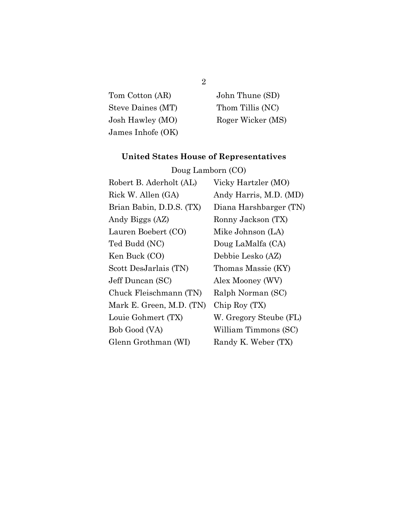| Tom Cotton (AR)   | John Thune (SD)   |
|-------------------|-------------------|
| Steve Daines (MT) | Thom Tillis (NC)  |
| Josh Hawley (MO)  | Roger Wicker (MS) |
| James Inhofe (OK) |                   |

# **United States House of Representatives**

| Doug Lamborn (CO)        |                        |  |
|--------------------------|------------------------|--|
| Robert B. Aderholt (AL)  | Vicky Hartzler (MO)    |  |
| Rick W. Allen (GA)       | Andy Harris, M.D. (MD) |  |
| Brian Babin, D.D.S. (TX) | Diana Harshbarger (TN) |  |
| Andy Biggs (AZ)          | Ronny Jackson (TX)     |  |
| Lauren Boebert (CO)      | Mike Johnson (LA)      |  |
| Ted Budd (NC)            | Doug LaMalfa (CA)      |  |
| Ken Buck (CO)            | Debbie Lesko (AZ)      |  |
| Scott DesJarlais (TN)    | Thomas Massie (KY)     |  |
| Jeff Duncan (SC)         | Alex Mooney (WV)       |  |
| Chuck Fleischmann (TN)   | Ralph Norman (SC)      |  |
| Mark E. Green, M.D. (TN) | Chip Roy (TX)          |  |
| Louie Gohmert (TX)       | W. Gregory Steube (FL) |  |
| Bob Good (VA)            | William Timmons (SC)   |  |
| Glenn Grothman (WI)      | Randy K. Weber (TX)    |  |

# 2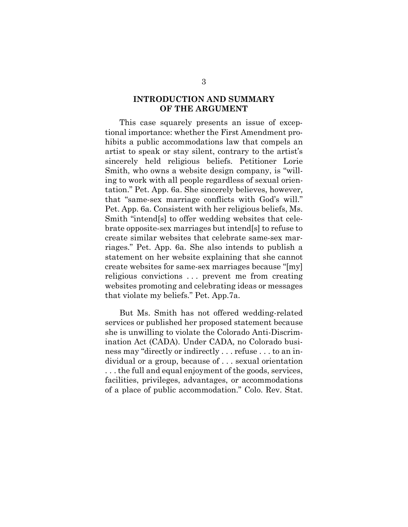### **INTRODUCTION AND SUMMARY OF THE ARGUMENT**

This case squarely presents an issue of exceptional importance: whether the First Amendment prohibits a public accommodations law that compels an artist to speak or stay silent, contrary to the artist's sincerely held religious beliefs. Petitioner Lorie Smith, who owns a website design company, is "willing to work with all people regardless of sexual orientation." Pet. App. 6a. She sincerely believes, however, that "same-sex marriage conflicts with God's will." Pet. App. 6a. Consistent with her religious beliefs, Ms. Smith "intend[s] to offer wedding websites that celebrate opposite-sex marriages but intend[s] to refuse to create similar websites that celebrate same-sex marriages." Pet. App. 6a. She also intends to publish a statement on her website explaining that she cannot create websites for same-sex marriages because "[my] religious convictions . . . prevent me from creating websites promoting and celebrating ideas or messages that violate my beliefs." Pet. App.7a.

But Ms. Smith has not offered wedding-related services or published her proposed statement because she is unwilling to violate the Colorado Anti-Discrimination Act (CADA). Under CADA, no Colorado business may "directly or indirectly . . . refuse . . . to an individual or a group, because of . . . sexual orientation . . . the full and equal enjoyment of the goods, services, facilities, privileges, advantages, or accommodations of a place of public accommodation." Colo. Rev. Stat.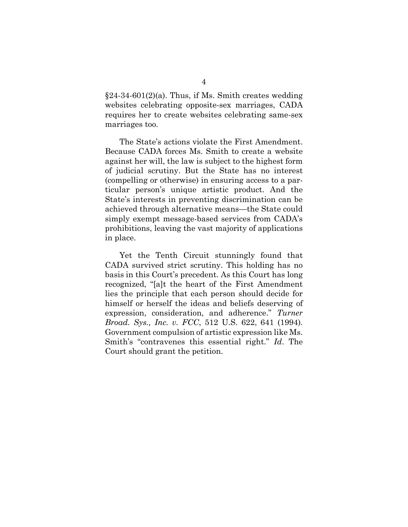$§24-34-601(2)(a)$ . Thus, if Ms. Smith creates wedding websites celebrating opposite-sex marriages, CADA requires her to create websites celebrating same-sex marriages too.

The State's actions violate the First Amendment. Because CADA forces Ms. Smith to create a website against her will, the law is subject to the highest form of judicial scrutiny. But the State has no interest (compelling or otherwise) in ensuring access to a particular person's unique artistic product. And the State's interests in preventing discrimination can be achieved through alternative means—the State could simply exempt message-based services from CADA's prohibitions, leaving the vast majority of applications in place.

Yet the Tenth Circuit stunningly found that CADA survived strict scrutiny. This holding has no basis in this Court's precedent. As this Court has long recognized, "[a]t the heart of the First Amendment lies the principle that each person should decide for himself or herself the ideas and beliefs deserving of expression, consideration, and adherence." *Turner Broad. Sys., Inc. v. FCC*, 512 U.S. 622, 641 (1994). Government compulsion of artistic expression like Ms. Smith's "contravenes this essential right." *Id*. The Court should grant the petition.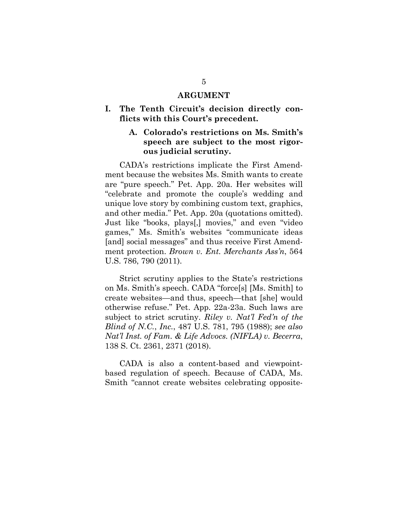#### **ARGUMENT**

## **I. The Tenth Circuit's decision directly conflicts with this Court's precedent.**

## **A. Colorado's restrictions on Ms. Smith's speech are subject to the most rigorous judicial scrutiny.**

CADA's restrictions implicate the First Amendment because the websites Ms. Smith wants to create are "pure speech." Pet. App. 20a. Her websites will "celebrate and promote the couple's wedding and unique love story by combining custom text, graphics, and other media." Pet. App. 20a (quotations omitted). Just like "books, plays[,] movies," and even "video games," Ms. Smith's websites "communicate ideas [and] social messages" and thus receive First Amendment protection. *Brown v. Ent. Merchants Ass'n*, 564 U.S. 786, 790 (2011).

Strict scrutiny applies to the State's restrictions on Ms. Smith's speech. CADA "force[s] [Ms. Smith] to create websites—and thus, speech—that [she] would otherwise refuse." Pet. App. 22a-23a. Such laws are subject to strict scrutiny. *Riley v. Nat'l Fed'n of the Blind of N.C.*, *Inc.*, 487 U.S. 781, 795 (1988); *see also Nat'l Inst. of Fam. & Life Advocs. (NIFLA) v. Becerra*, 138 S. Ct. 2361, 2371 (2018).

CADA is also a content-based and viewpointbased regulation of speech. Because of CADA, Ms. Smith "cannot create websites celebrating opposite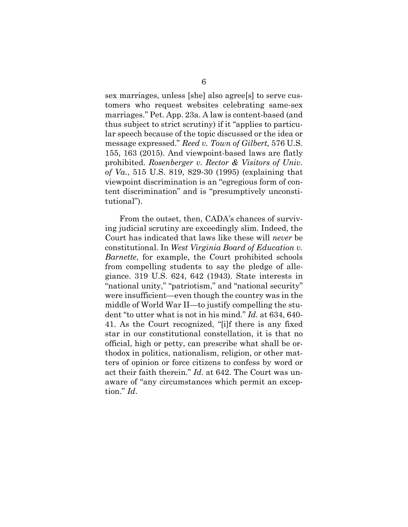sex marriages, unless [she] also agree[s] to serve customers who request websites celebrating same-sex marriages." Pet. App. 23a. A law is content-based (and thus subject to strict scrutiny) if it "applies to particular speech because of the topic discussed or the idea or message expressed." *Reed v. Town of Gilbert,* 576 U.S. 155, 163 (2015). And viewpoint-based laws are flatly prohibited. *Rosenberger v. Rector & Visitors of Univ. of Va.*, 515 U.S. 819, 829-30 (1995) (explaining that viewpoint discrimination is an "egregious form of content discrimination" and is "presumptively unconstitutional").

From the outset, then, CADA's chances of surviving judicial scrutiny are exceedingly slim. Indeed, the Court has indicated that laws like these will *never* be constitutional. In *West Virginia Board of Education v. Barnette*, for example, the Court prohibited schools from compelling students to say the pledge of allegiance. 319 U.S. 624, 642 (1943). State interests in "national unity," "patriotism," and "national security" were insufficient—even though the country was in the middle of World War II—to justify compelling the student "to utter what is not in his mind." *Id.* at 634, 640- 41. As the Court recognized, "[i]f there is any fixed star in our constitutional constellation, it is that no official, high or petty, can prescribe what shall be orthodox in politics, nationalism, religion, or other matters of opinion or force citizens to confess by word or act their faith therein." *Id*. at 642. The Court was unaware of "any circumstances which permit an exception." *Id*.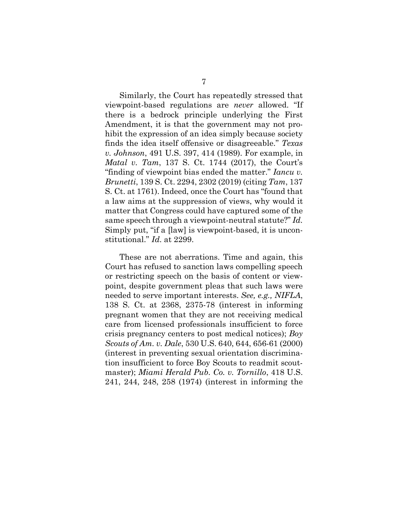Similarly, the Court has repeatedly stressed that viewpoint-based regulations are *never* allowed. "If there is a bedrock principle underlying the First Amendment, it is that the government may not prohibit the expression of an idea simply because society finds the idea itself offensive or disagreeable." *Texas v. Johnson*, 491 U.S. 397, 414 (1989). For example, in *Matal v. Tam*, 137 S. Ct. 1744 (2017), the Court's "finding of viewpoint bias ended the matter." *Iancu v. Brunetti*, 139 S. Ct. 2294, 2302 (2019) (citing *Tam*, 137 S. Ct. at 1761). Indeed, once the Court has "found that a law aims at the suppression of views, why would it matter that Congress could have captured some of the same speech through a viewpoint-neutral statute?" *Id.*  Simply put, "if a [law] is viewpoint-based, it is unconstitutional." *Id*. at 2299.

These are not aberrations. Time and again, this Court has refused to sanction laws compelling speech or restricting speech on the basis of content or viewpoint, despite government pleas that such laws were needed to serve important interests. *See, e.g., NIFLA*, 138 S. Ct. at 2368, 2375-78 (interest in informing pregnant women that they are not receiving medical care from licensed professionals insufficient to force crisis pregnancy centers to post medical notices); *Boy Scouts of Am. v. Dale*, 530 U.S. 640, 644, 656-61 (2000) (interest in preventing sexual orientation discrimination insufficient to force Boy Scouts to readmit scoutmaster); *Miami Herald Pub. Co. v. Tornillo*, 418 U.S. 241, 244, 248, 258 (1974) (interest in informing the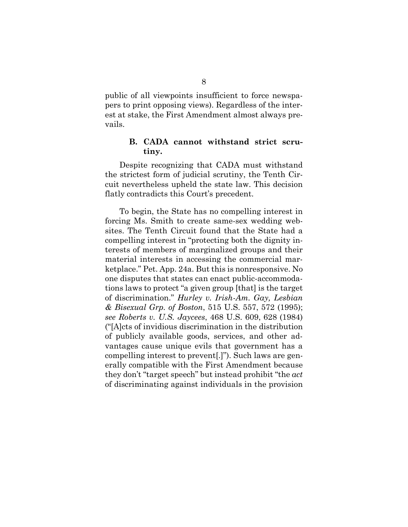public of all viewpoints insufficient to force newspapers to print opposing views). Regardless of the interest at stake, the First Amendment almost always prevails.

### **B. CADA cannot withstand strict scrutiny.**

Despite recognizing that CADA must withstand the strictest form of judicial scrutiny, the Tenth Circuit nevertheless upheld the state law. This decision flatly contradicts this Court's precedent.

To begin, the State has no compelling interest in forcing Ms. Smith to create same-sex wedding websites. The Tenth Circuit found that the State had a compelling interest in "protecting both the dignity interests of members of marginalized groups and their material interests in accessing the commercial marketplace." Pet. App. 24a. But this is nonresponsive. No one disputes that states can enact public-accommodations laws to protect "a given group [that] is the target of discrimination." *Hurley v. Irish-Am. Gay, Lesbian & Bisexual Grp. of Boston*, 515 U.S. 557, 572 (1995); *see Roberts v. U.S. Jaycees*, 468 U.S. 609, 628 (1984) ("[A]cts of invidious discrimination in the distribution of publicly available goods, services, and other advantages cause unique evils that government has a compelling interest to prevent[.]"). Such laws are generally compatible with the First Amendment because they don't "target speech" but instead prohibit "the *act* of discriminating against individuals in the provision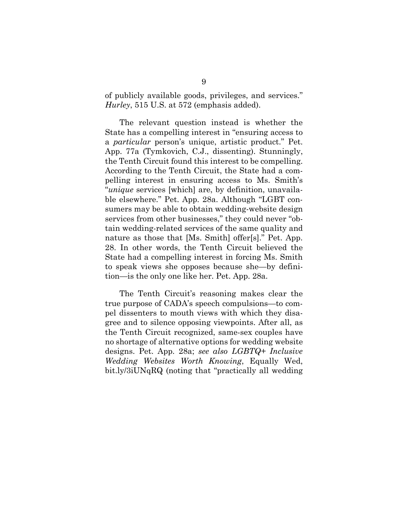of publicly available goods, privileges, and services." *Hurley*, 515 U.S. at 572 (emphasis added).

The relevant question instead is whether the State has a compelling interest in "ensuring access to a *particular* person's unique, artistic product." Pet. App. 77a (Tymkovich, C.J., dissenting). Stunningly, the Tenth Circuit found this interest to be compelling. According to the Tenth Circuit, the State had a compelling interest in ensuring access to Ms. Smith's "*unique* services [which] are, by definition, unavailable elsewhere." Pet. App. 28a. Although "LGBT consumers may be able to obtain wedding-website design services from other businesses," they could never "obtain wedding-related services of the same quality and nature as those that [Ms. Smith] offer[s]." Pet. App. 28. In other words, the Tenth Circuit believed the State had a compelling interest in forcing Ms. Smith to speak views she opposes because she—by definition—is the only one like her. Pet. App. 28a.

The Tenth Circuit's reasoning makes clear the true purpose of CADA's speech compulsions—to compel dissenters to mouth views with which they disagree and to silence opposing viewpoints. After all, as the Tenth Circuit recognized, same-sex couples have no shortage of alternative options for wedding website designs. Pet. App. 28a; *see also LGBTQ+ Inclusive Wedding Websites Worth Knowing*, Equally Wed, bit.ly/3iUNqRQ (noting that "practically all wedding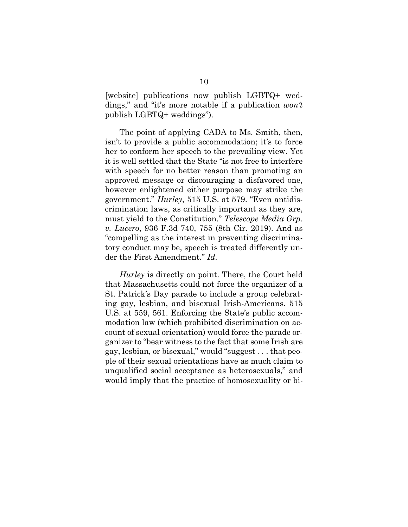[website] publications now publish LGBTQ+ weddings," and "it's more notable if a publication *won't*  publish LGBTQ+ weddings").

The point of applying CADA to Ms. Smith, then, isn't to provide a public accommodation; it's to force her to conform her speech to the prevailing view. Yet it is well settled that the State "is not free to interfere with speech for no better reason than promoting an approved message or discouraging a disfavored one, however enlightened either purpose may strike the government." *Hurley*, 515 U.S. at 579. "Even antidiscrimination laws, as critically important as they are, must yield to the Constitution." *Telescope Media Grp. v. Lucero*, 936 F.3d 740, 755 (8th Cir. 2019). And as "compelling as the interest in preventing discriminatory conduct may be, speech is treated differently under the First Amendment." *Id.* 

*Hurley* is directly on point. There, the Court held that Massachusetts could not force the organizer of a St. Patrick's Day parade to include a group celebrating gay, lesbian, and bisexual Irish-Americans. 515 U.S. at 559, 561. Enforcing the State's public accommodation law (which prohibited discrimination on account of sexual orientation) would force the parade organizer to "bear witness to the fact that some Irish are gay, lesbian, or bisexual," would "suggest . . . that people of their sexual orientations have as much claim to unqualified social acceptance as heterosexuals," and would imply that the practice of homosexuality or bi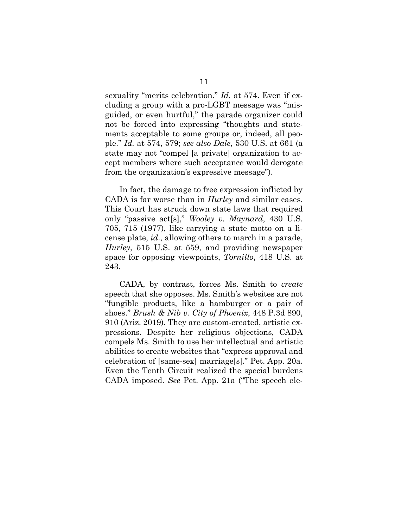sexuality "merits celebration." *Id.* at 574. Even if excluding a group with a pro-LGBT message was "misguided, or even hurtful," the parade organizer could not be forced into expressing "thoughts and statements acceptable to some groups or, indeed, all people." *Id.* at 574, 579; *see also Dale*, 530 U.S. at 661 (a state may not "compel [a private] organization to accept members where such acceptance would derogate from the organization's expressive message").

In fact, the damage to free expression inflicted by CADA is far worse than in *Hurley* and similar cases. This Court has struck down state laws that required only "passive act[s]," *Wooley v. Maynard*, 430 U.S. 705, 715 (1977), like carrying a state motto on a license plate, *id*., allowing others to march in a parade, *Hurley*, 515 U.S. at 559, and providing newspaper space for opposing viewpoints, *Tornillo*, 418 U.S. at 243.

CADA, by contrast, forces Ms. Smith to *create*  speech that she opposes. Ms. Smith's websites are not "fungible products, like a hamburger or a pair of shoes." *Brush & Nib v. City of Phoenix*, 448 P.3d 890, 910 (Ariz. 2019). They are custom-created, artistic expressions. Despite her religious objections, CADA compels Ms. Smith to use her intellectual and artistic abilities to create websites that "express approval and celebration of [same-sex] marriage[s]." Pet. App. 20a. Even the Tenth Circuit realized the special burdens CADA imposed. *See* Pet. App. 21a ("The speech ele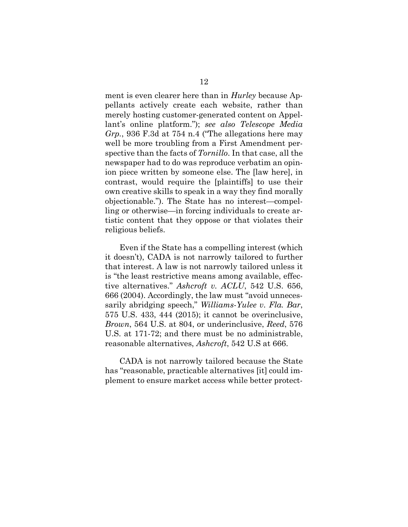ment is even clearer here than in *Hurley* because Appellants actively create each website, rather than merely hosting customer-generated content on Appellant's online platform."); *see also Telescope Media Grp.*, 936 F.3d at 754 n.4 ("The allegations here may well be more troubling from a First Amendment perspective than the facts of *Tornillo*. In that case, all the newspaper had to do was reproduce verbatim an opinion piece written by someone else. The [law here], in contrast, would require the [plaintiffs] to use their own creative skills to speak in a way they find morally objectionable."). The State has no interest—compelling or otherwise—in forcing individuals to create artistic content that they oppose or that violates their religious beliefs.

Even if the State has a compelling interest (which it doesn't), CADA is not narrowly tailored to further that interest. A law is not narrowly tailored unless it is "the least restrictive means among available, effective alternatives." *Ashcroft v. ACLU*, 542 U.S. 656, 666 (2004). Accordingly, the law must "avoid unnecessarily abridging speech," *Williams-Yulee v. Fla. Bar*, 575 U.S. 433, 444 (2015); it cannot be overinclusive, *Brown*, 564 U.S. at 804, or underinclusive, *Reed*, 576 U.S. at 171-72; and there must be no administrable, reasonable alternatives, *Ashcroft*, 542 U.S at 666.

CADA is not narrowly tailored because the State has "reasonable, practicable alternatives [it] could implement to ensure market access while better protect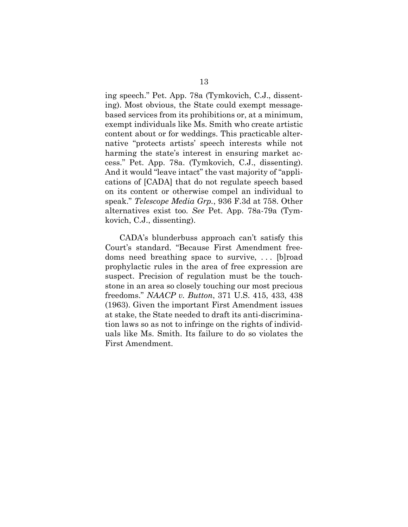ing speech." Pet. App. 78a (Tymkovich, C.J., dissenting). Most obvious, the State could exempt messagebased services from its prohibitions or, at a minimum, exempt individuals like Ms. Smith who create artistic content about or for weddings. This practicable alternative "protects artists' speech interests while not harming the state's interest in ensuring market access." Pet. App. 78a. (Tymkovich, C.J., dissenting). And it would "leave intact" the vast majority of "applications of [CADA] that do not regulate speech based on its content or otherwise compel an individual to speak." *Telescope Media Grp.*, 936 F.3d at 758. Other alternatives exist too. *See* Pet. App. 78a-79a (Tymkovich, C.J., dissenting).

CADA's blunderbuss approach can't satisfy this Court's standard. "Because First Amendment freedoms need breathing space to survive, . . . [b]road prophylactic rules in the area of free expression are suspect. Precision of regulation must be the touchstone in an area so closely touching our most precious freedoms." *NAACP v. Button*, 371 U.S. 415, 433, 438 (1963). Given the important First Amendment issues at stake, the State needed to draft its anti-discrimination laws so as not to infringe on the rights of individuals like Ms. Smith. Its failure to do so violates the First Amendment.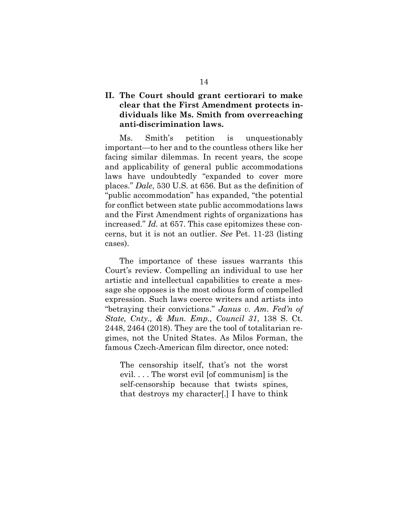## **II. The Court should grant certiorari to make clear that the First Amendment protects individuals like Ms. Smith from overreaching anti-discrimination laws.**

Ms. Smith's petition is unquestionably important—to her and to the countless others like her facing similar dilemmas. In recent years, the scope and applicability of general public accommodations laws have undoubtedly "expanded to cover more places." *Dale*, 530 U.S. at 656. But as the definition of "public accommodation" has expanded, "the potential for conflict between state public accommodations laws and the First Amendment rights of organizations has increased." *Id.* at 657. This case epitomizes these concerns, but it is not an outlier. *See* Pet. 11-23 (listing cases).

The importance of these issues warrants this Court's review. Compelling an individual to use her artistic and intellectual capabilities to create a message she opposes is the most odious form of compelled expression. Such laws coerce writers and artists into "betraying their convictions." *Janus v. Am. Fed'n of State, Cnty., & Mun. Emp., Council 31*, 138 S. Ct. 2448, 2464 (2018). They are the tool of totalitarian regimes, not the United States. As Milos Forman, the famous Czech-American film director, once noted:

The censorship itself, that's not the worst evil. . . . The worst evil [of communism] is the self-censorship because that twists spines, that destroys my character[.] I have to think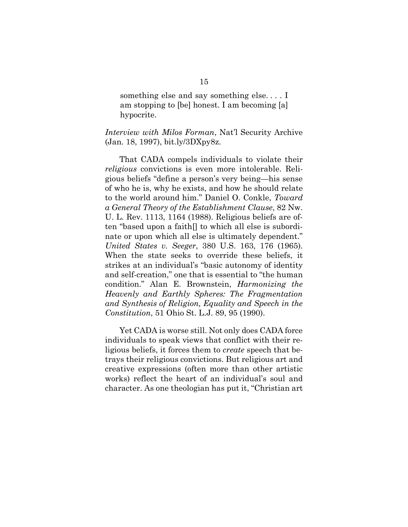something else and say something else. . . . I am stopping to [be] honest. I am becoming [a] hypocrite.

*Interview with Milos Forman*, Nat'l Security Archive (Jan. 18, 1997), bit.ly/3DXpy8z.

That CADA compels individuals to violate their *religious* convictions is even more intolerable. Religious beliefs "define a person's very being—his sense of who he is, why he exists, and how he should relate to the world around him." Daniel O. Conkle, *Toward a General Theory of the Establishment Clause*, 82 Nw. U. L. Rev. 1113, 1164 (1988). Religious beliefs are often "based upon a faith[] to which all else is subordinate or upon which all else is ultimately dependent." *United States v. Seeger*, 380 U.S. 163, 176 (1965). When the state seeks to override these beliefs, it strikes at an individual's "basic autonomy of identity and self-creation," one that is essential to "the human condition." Alan E. Brownstein, *Harmonizing the Heavenly and Earthly Spheres: The Fragmentation and Synthesis of Religion, Equality and Speech in the Constitution*, 51 Ohio St. L.J. 89, 95 (1990).

Yet CADA is worse still. Not only does CADA force individuals to speak views that conflict with their religious beliefs, it forces them to *create* speech that betrays their religious convictions. But religious art and creative expressions (often more than other artistic works) reflect the heart of an individual's soul and character. As one theologian has put it, "Christian art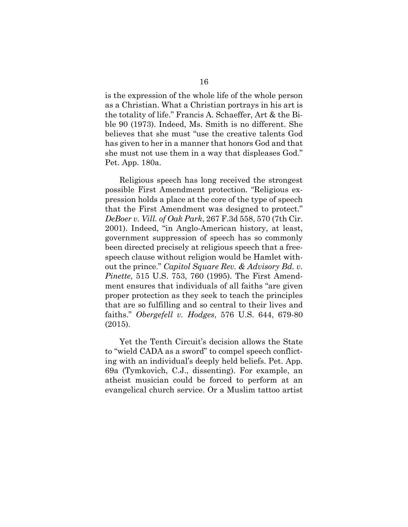is the expression of the whole life of the whole person as a Christian. What a Christian portrays in his art is the totality of life." Francis A. Schaeffer, Art & the Bible 90 (1973). Indeed, Ms. Smith is no different. She believes that she must "use the creative talents God has given to her in a manner that honors God and that she must not use them in a way that displeases God." Pet. App. 180a.

Religious speech has long received the strongest possible First Amendment protection. "Religious expression holds a place at the core of the type of speech that the First Amendment was designed to protect." *DeBoer v. Vill. of Oak Park*, 267 F.3d 558, 570 (7th Cir. 2001). Indeed, "in Anglo-American history, at least, government suppression of speech has so commonly been directed precisely at religious speech that a freespeech clause without religion would be Hamlet without the prince." *Capitol Square Rev. & Advisory Bd. v. Pinette*, 515 U.S. 753, 760 (1995). The First Amendment ensures that individuals of all faiths "are given proper protection as they seek to teach the principles that are so fulfilling and so central to their lives and faiths." *Obergefell v. Hodges*, 576 U.S. 644, 679-80 (2015).

Yet the Tenth Circuit's decision allows the State to "wield CADA as a sword" to compel speech conflicting with an individual's deeply held beliefs. Pet. App. 69a (Tymkovich, C.J., dissenting). For example, an atheist musician could be forced to perform at an evangelical church service. Or a Muslim tattoo artist